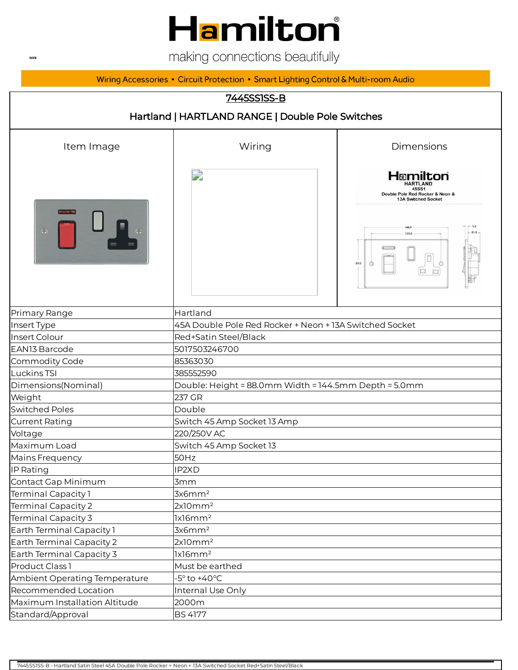# Hamilton

making connections beautifully

Wiring Accessories • Circuit Protection • Smart Lighting Control & Multi-room Audio

#### 7445SS1SS-B

| Hartland   HARTLAND RANGE   Double Pole Switches |                                                         |                                                                                                         |  |
|--------------------------------------------------|---------------------------------------------------------|---------------------------------------------------------------------------------------------------------|--|
| Item Image                                       | Wiring                                                  | Dimensions                                                                                              |  |
| $\ominus$                                        | D                                                       | Hamilton<br><b>HARTLAND</b><br>45SS1<br>Double Pole Red Rocker & Neon &<br>13A Switched Socket<br>144.5 |  |
|                                                  |                                                         | 88.0                                                                                                    |  |
| Primary Range                                    | Hartland                                                |                                                                                                         |  |
| Insert Type                                      | 45A Double Pole Red Rocker + Neon + 13A Switched Socket |                                                                                                         |  |
| Insert Colour                                    | Red+Satin Steel/Black                                   |                                                                                                         |  |
| EAN13 Barcode                                    | 5017503246700                                           |                                                                                                         |  |
| Commodity Code                                   | 85363030                                                |                                                                                                         |  |
| Luckins TSI                                      | 385552590                                               |                                                                                                         |  |
| Dimensions(Nominal)                              | Double: Height = 88.0mm Width = 144.5mm Depth = 5.0mm   |                                                                                                         |  |
| Weight                                           | 237 GR                                                  |                                                                                                         |  |
| <b>Switched Poles</b>                            | Double                                                  |                                                                                                         |  |
| <b>Current Rating</b>                            | Switch 45 Amp Socket 13 Amp                             |                                                                                                         |  |
| Voltage                                          | 220/250V AC                                             |                                                                                                         |  |
| Maximum Load                                     | Switch 45 Amp Socket 13                                 |                                                                                                         |  |
| Mains Frequency                                  | 50Hz                                                    |                                                                                                         |  |
| IP Rating                                        | IP2XD                                                   |                                                                                                         |  |
| Contact Gap Minimum                              | 3mm                                                     |                                                                                                         |  |
| Terminal Capacity 1                              | 3x6mm <sup>2</sup>                                      |                                                                                                         |  |
| <b>Terminal Capacity 2</b>                       | 2x10mm <sup>2</sup>                                     |                                                                                                         |  |
| Terminal Capacity 3                              | lx16mm <sup>2</sup>                                     |                                                                                                         |  |
| Earth Terminal Capacity 1                        | 3x6mm <sup>2</sup>                                      |                                                                                                         |  |
| Earth Terminal Capacity 2                        | 2x10mm <sup>2</sup>                                     |                                                                                                         |  |
| Earth Terminal Capacity 3                        | lx16mm <sup>2</sup>                                     |                                                                                                         |  |
| Product Class 1                                  | Must be earthed                                         |                                                                                                         |  |
| Ambient Operating Temperature                    | $-5^\circ$ to $+40^\circ C$                             |                                                                                                         |  |
| Recommended Location                             | Internal Use Only                                       |                                                                                                         |  |
| Maximum Installation Altitude                    | 2000m                                                   |                                                                                                         |  |
| Standard/Approval                                | <b>BS 4177</b>                                          |                                                                                                         |  |

 $\ensuremath{\mathsf{WEB}}$